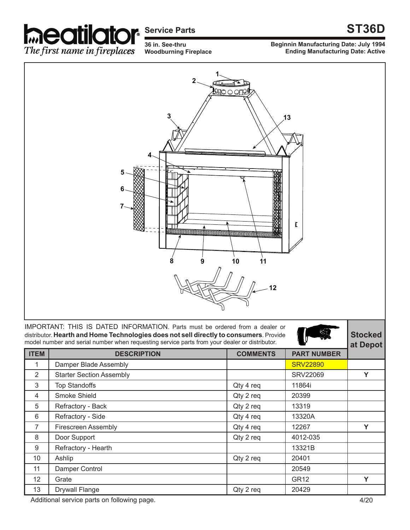

## **Service Parts**

**36 in. See-thru Woodburning Fireplace**

## **ST36D**

**Beginnin Manufacturing Date: July 1994 Ending Manufacturing Date: Active**



IMPORTANT: THIS IS DATED INFORMATION. Parts must be ordered from a dealer or distributor. **Hearth and Home Technologies does not sell directly to consumers**. Provide model number and serial number when requesting service parts from your dealer or distributor.





| <b>ITEM</b>    | <b>DESCRIPTION</b>              | <b>COMMENTS</b> | <b>PART NUMBER</b> |   |
|----------------|---------------------------------|-----------------|--------------------|---|
| 1              | Damper Blade Assembly           |                 | <b>SRV22890</b>    |   |
| $\overline{2}$ | <b>Starter Section Assembly</b> |                 | <b>SRV22069</b>    | Y |
| 3              | <b>Top Standoffs</b>            | Qty 4 req       | 11864i             |   |
| 4              | Smoke Shield                    | Qty 2 req       | 20399              |   |
| 5              | Refractory - Back               | Qty 2 req       | 13319              |   |
| 6              | Refractory - Side               | Qty 4 req       | 13320A             |   |
| 7              | <b>Firescreen Assembly</b>      | Qty 4 req       | 12267              | Y |
| 8              | Door Support                    | Qty 2 req       | 4012-035           |   |
| 9              | Refractory - Hearth             |                 | 13321B             |   |
| 10             | Ashlip                          | Qty 2 req       | 20401              |   |
| 11             | Damper Control                  |                 | 20549              |   |
| 12             | Grate                           |                 | <b>GR12</b>        | Y |
| 13             | <b>Drywall Flange</b>           | Qty 2 req       | 20429              |   |

Additional service parts on following page. Additional service parts on following page.